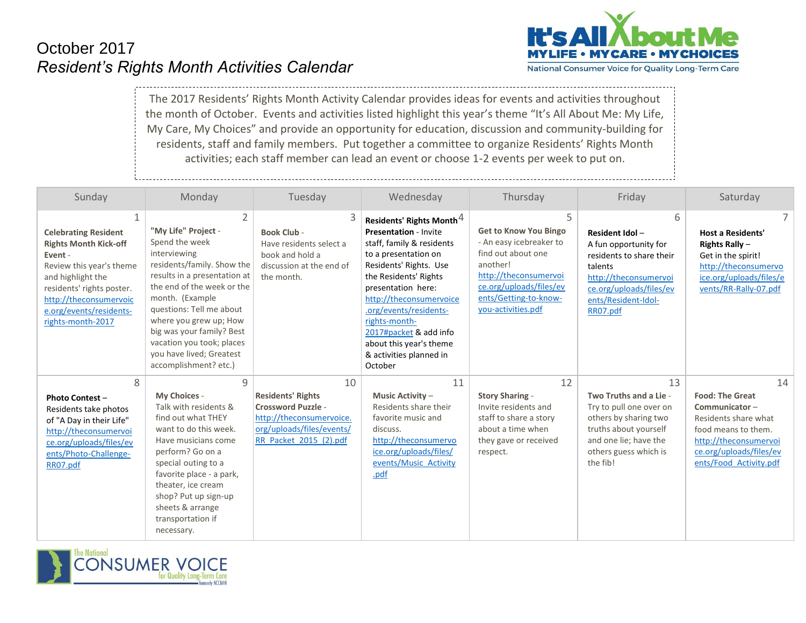## October 2017 *Resident's Rights Month Activities Calendar*



National Consumer Voice for Quality Long-Term Care

The 2017 Residents' Rights Month Activity Calendar provides ideas for events and activities throughout the month of October. Events and activities listed highlight this year's theme "It's All About Me: My Life, My Care, My Choices" and provide an opportunity for education, discussion and community-building for residents, staff and family members. Put together a committee to organize Residents' Rights Month activities; each staff member can lead an event or choose 1-2 events per week to put on.

| Sunday                                                                                                                                                                                                                         | Monday                                                                                                                                                                                                                                                                                                                                         | Tuesday                                                                                                                                        | Wednesday                                                                                                                                                                                                                                                                                                                                                           | Thursday                                                                                                                                                                                          | Friday                                                                                                                                                                     | Saturday                                                                                                                                                                   |
|--------------------------------------------------------------------------------------------------------------------------------------------------------------------------------------------------------------------------------|------------------------------------------------------------------------------------------------------------------------------------------------------------------------------------------------------------------------------------------------------------------------------------------------------------------------------------------------|------------------------------------------------------------------------------------------------------------------------------------------------|---------------------------------------------------------------------------------------------------------------------------------------------------------------------------------------------------------------------------------------------------------------------------------------------------------------------------------------------------------------------|---------------------------------------------------------------------------------------------------------------------------------------------------------------------------------------------------|----------------------------------------------------------------------------------------------------------------------------------------------------------------------------|----------------------------------------------------------------------------------------------------------------------------------------------------------------------------|
| <b>Celebrating Resident</b><br><b>Rights Month Kick-off</b><br>Event -<br>Review this year's theme<br>and highlight the<br>residents' rights poster.<br>http://theconsumervoic<br>e.org/events/residents-<br>rights-month-2017 | 2<br>"My Life" Project -<br>Spend the week<br>interviewing<br>residents/family. Show the<br>results in a presentation at<br>the end of the week or the<br>month. (Example<br>questions: Tell me about<br>where you grew up; How<br>big was your family? Best<br>vacation you took; places<br>you have lived; Greatest<br>accomplishment? etc.) | <b>Book Club -</b><br>Have residents select a<br>book and hold a<br>discussion at the end of<br>the month.                                     | Residents' Rights Month <sup>4</sup><br><b>Presentation - Invite</b><br>staff, family & residents<br>to a presentation on<br>Residents' Rights. Use<br>the Residents' Rights<br>presentation here:<br>http://theconsumervoice<br>.org/events/residents-<br>rights-month-<br>2017#packet & add info<br>about this year's theme<br>& activities planned in<br>October | 5<br><b>Get to Know You Bingo</b><br>- An easy icebreaker to<br>find out about one<br>another!<br>http://theconsumervoi<br>ce.org/uploads/files/ev<br>ents/Getting-to-know-<br>you-activities.pdf | 6<br>Resident Idol-<br>A fun opportunity for<br>residents to share their<br>talents<br>http://theconsumervoi<br>ce.org/uploads/files/ev<br>ents/Resident-Idol-<br>RR07.pdf | <b>Host a Residents'</b><br>Rights Rally $-$<br>Get in the spirit!<br>http://theconsumervo<br>ice.org/uploads/files/e<br>vents/RR-Rally-07.pdf                             |
| 8<br><b>Photo Contest -</b><br>Residents take photos<br>of "A Day in their Life"<br>http://theconsumervoi<br>ce.org/uploads/files/ev<br>ents/Photo-Challenge-<br>RR07.pdf                                                      | 9<br>My Choices -<br>Talk with residents &<br>find out what THEY<br>want to do this week.<br>Have musicians come<br>perform? Go on a<br>special outing to a<br>favorite place - a park,<br>theater, ice cream<br>shop? Put up sign-up<br>sheets & arrange<br>transportation if<br>necessary.                                                   | 10<br><b>Residents' Rights</b><br><b>Crossword Puzzle -</b><br>http://theconsumervoice.<br>org/uploads/files/events/<br>RR Packet 2015 (2).pdf | 11<br><b>Music Activity -</b><br>Residents share their<br>favorite music and<br>discuss.<br>http://theconsumervo<br>ice.org/uploads/files/<br>events/Music Activity<br>.pdf                                                                                                                                                                                         | 12<br><b>Story Sharing -</b><br>Invite residents and<br>staff to share a story<br>about a time when<br>they gave or received<br>respect.                                                          | 13<br>Two Truths and a Lie -<br>Try to pull one over on<br>others by sharing two<br>truths about yourself<br>and one lie; have the<br>others guess which is<br>the fib!    | 14<br><b>Food: The Great</b><br>Communicator-<br>Residents share what<br>food means to them.<br>http://theconsumervoi<br>ce.org/uploads/files/ev<br>ents/Food Activity.pdf |